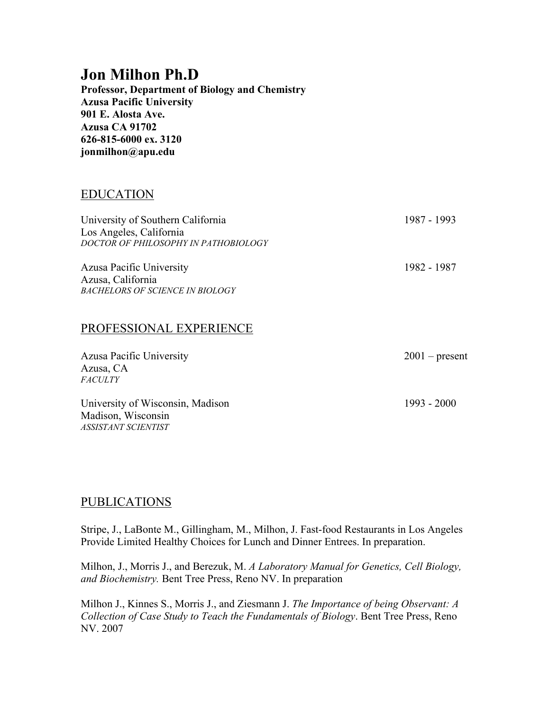## **Jon Milhon Ph.D**

**Professor, Department of Biology and Chemistry Azusa Pacific University 901 E. Alosta Ave. Azusa CA 91702 626-815-6000 ex. 3120 jonmilhon@apu.edu**

## EDUCATION

| University of Southern California<br>Los Angeles, California<br>DOCTOR OF PHILOSOPHY IN PATHOBIOLOGY | 1987 - 1993      |
|------------------------------------------------------------------------------------------------------|------------------|
| Azusa Pacific University<br>Azusa, California<br><b>BACHELORS OF SCIENCE IN BIOLOGY</b>              | 1982 - 1987      |
| PROFESSIONAL EXPERIENCE                                                                              |                  |
| <b>Azusa Pacific University</b><br>Azusa, CA<br><b>FACULTY</b>                                       | $2001$ – present |
| $T$ $T$ $T$<br>$\mathbf{C}$                                                                          | $1002 - 2000$    |

University of Wisconsin, Madison 1993 - 2000 Madison, Wisconsin *ASSISTANT SCIENTIST*

## PUBLICATIONS

Stripe, J., LaBonte M., Gillingham, M., Milhon, J. Fast-food Restaurants in Los Angeles Provide Limited Healthy Choices for Lunch and Dinner Entrees. In preparation.

Milhon, J., Morris J., and Berezuk, M. *A Laboratory Manual for Genetics, Cell Biology, and Biochemistry.* Bent Tree Press, Reno NV. In preparation

Milhon J., Kinnes S., Morris J., and Ziesmann J. *The Importance of being Observant: A Collection of Case Study to Teach the Fundamentals of Biology*. Bent Tree Press, Reno NV. 2007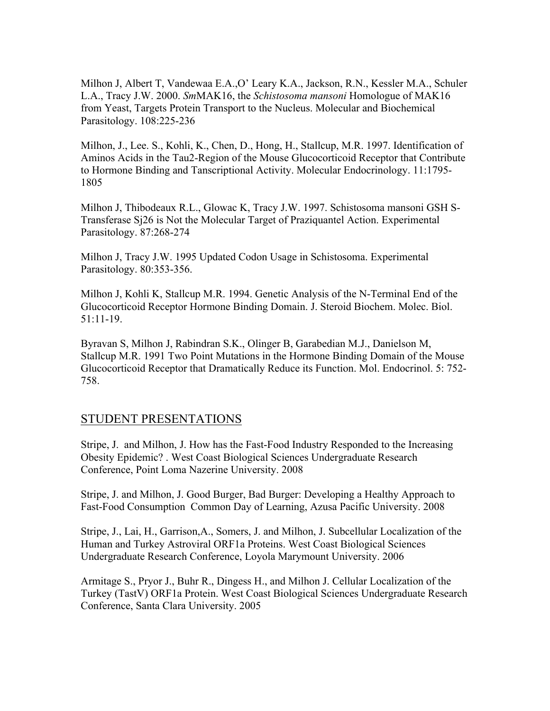Milhon J, Albert T, Vandewaa E.A.,O' Leary K.A., Jackson, R.N., Kessler M.A., Schuler L.A., Tracy J.W. 2000. *Sm*MAK16, the *Schistosoma mansoni* Homologue of MAK16 from Yeast, Targets Protein Transport to the Nucleus. Molecular and Biochemical Parasitology. 108:225-236

Milhon, J., Lee. S., Kohli, K., Chen, D., Hong, H., Stallcup, M.R. 1997. Identification of Aminos Acids in the Tau2-Region of the Mouse Glucocorticoid Receptor that Contribute to Hormone Binding and Tanscriptional Activity. Molecular Endocrinology. 11:1795- 1805

Milhon J, Thibodeaux R.L., Glowac K, Tracy J.W. 1997. Schistosoma mansoni GSH S-Transferase Sj26 is Not the Molecular Target of Praziquantel Action. Experimental Parasitology. 87:268-274

Milhon J, Tracy J.W. 1995 Updated Codon Usage in Schistosoma. Experimental Parasitology. 80:353-356.

Milhon J, Kohli K, Stallcup M.R. 1994. Genetic Analysis of the N-Terminal End of the Glucocorticoid Receptor Hormone Binding Domain. J. Steroid Biochem. Molec. Biol. 51:11-19.

Byravan S, Milhon J, Rabindran S.K., Olinger B, Garabedian M.J., Danielson M, Stallcup M.R. 1991 Two Point Mutations in the Hormone Binding Domain of the Mouse Glucocorticoid Receptor that Dramatically Reduce its Function. Mol. Endocrinol. 5: 752- 758.

## STUDENT PRESENTATIONS

Stripe, J. and Milhon, J. How has the Fast-Food Industry Responded to the Increasing Obesity Epidemic? . West Coast Biological Sciences Undergraduate Research Conference, Point Loma Nazerine University. 2008

Stripe, J. and Milhon, J. Good Burger, Bad Burger: Developing a Healthy Approach to Fast-Food Consumption Common Day of Learning, Azusa Pacific University. 2008

Stripe, J., Lai, H., Garrison,A., Somers, J. and Milhon, J. Subcellular Localization of the Human and Turkey Astroviral ORF1a Proteins. West Coast Biological Sciences Undergraduate Research Conference, Loyola Marymount University. 2006

Armitage S., Pryor J., Buhr R., Dingess H., and Milhon J. Cellular Localization of the Turkey (TastV) ORF1a Protein. West Coast Biological Sciences Undergraduate Research Conference, Santa Clara University. 2005